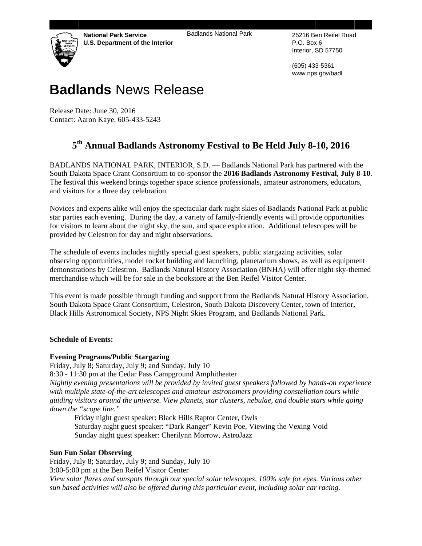**National Park Service U.S. Department of the Interior**  Badlands National Park

25216 B en Reifel Road dP.O. Box x 6 Interior, S SD 57750

(605) 43 3-5361 www.nps s.gov/badl

# **Badlands News Release**

Release Date: June 30, 2016 Contact: A Aaron Kaye, 6 605-433-5243 3

# **5t th Annual B Badlands Astronom my Festiva al to Be He eld July 8- -10, 2016**

BADLANDS NATIONAL PARK, INTERIOR, S.D. — Badlands National Park has partnered with the South Dakota Space Grant Consortium to co-sponsor the 2016 Badlands Astronomy Festival, July 8-10. The festival this weekend brings together space science professionals, amateur astronomers, educators, and visitors for a three day celebration.

Novices and experts alike will enjoy the spectacular dark night skies of Badlands National Park at public star parties each evening. During the day, a variety of family-friendly events will provide opportunities for visitors to learn about the night sky, the sun, and space exploration. Additional telescopes will be provided by Celestron for day and night observations.

The schedule of events includes nightly special guest speakers, public stargazing activities, solar for visitors to learn about the night sky, the sun, and space exploration. Additional telescopes will be<br>provided by Celestron for day and night observations.<br>The schedule of events includes nightly special guest speakers, demonstrations by Celestron. Badlands Natural History Association (BNHA) will offer night sky-themed merchandise which will be for sale in the bookstore at the Ben Reifel Visitor Center.

This event is made possible through funding and support from the Badlands Natural History Association, South Dakota Space Grant Consortium, Celestron, South Dakota Discovery Center, town of Interior, Black Hills Astronomical Society, NPS Night Skies Program, and Badlands National Park.

## **Schedule of Events:**

## **Evening Programs/Public Stargazing**

Friday, July 8; Saturday, July 9; and Sunday, July 10

8:30 - 11: 30 pm at the Cedar Pass C Campground A Amphitheater r

*Nightly evening presentations will be provided by invited guest speakers followed by hands-on experience* with multiple state-of-the-art telescopes and amateur astronomers providing constellation tours while *guiding visitors around the universe. View planets, star clusters, nebulae, and double stars while going down the "scope line." "*

Friday night guest speaker: Black Hills Raptor Center, Owls Saturday night guest speaker: "Dark Ranger" Kevin Poe, Viewing the Vexing Void Sunday night guest speaker: Cherilynn Morrow, AstroJazz

#### **Sun Fun Solar Observ ving**

Friday, July 8; Saturday, July 9; and Sunday, July 10 3:00-5:00 pm at the Ben Reifel Visitor Center *View solar flares and sunspots through our special solar telescopes, 100% safe for eyes. Various other sun based activities will also be offered during this particular event, including solar car racing.*